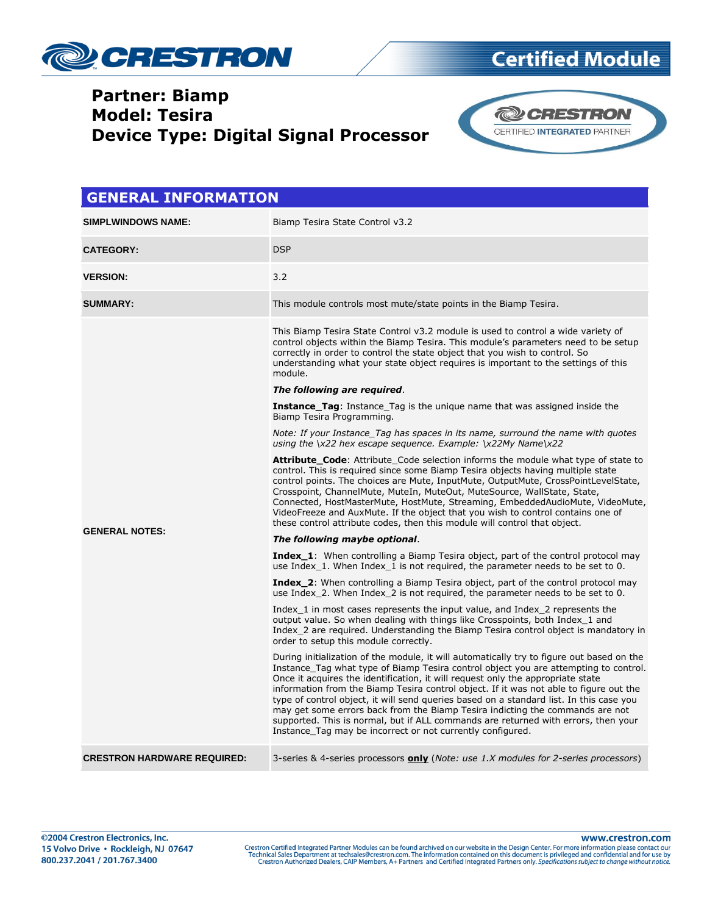

## **Certified Module**

#### **Partner: Biamp Model: Tesira Device Type: Digital Signal Processor**



| <b>GENERAL INFORMATION</b>         |                                                                                                                                                                                                                                                                                                                                                                                                                                                                                                                                                                                                                                                                                                |  |
|------------------------------------|------------------------------------------------------------------------------------------------------------------------------------------------------------------------------------------------------------------------------------------------------------------------------------------------------------------------------------------------------------------------------------------------------------------------------------------------------------------------------------------------------------------------------------------------------------------------------------------------------------------------------------------------------------------------------------------------|--|
| <b>SIMPLWINDOWS NAME:</b>          | Biamp Tesira State Control v3.2                                                                                                                                                                                                                                                                                                                                                                                                                                                                                                                                                                                                                                                                |  |
| <b>CATEGORY:</b>                   | <b>DSP</b>                                                                                                                                                                                                                                                                                                                                                                                                                                                                                                                                                                                                                                                                                     |  |
| <b>VERSION:</b>                    | 3.2                                                                                                                                                                                                                                                                                                                                                                                                                                                                                                                                                                                                                                                                                            |  |
| <b>SUMMARY:</b>                    | This module controls most mute/state points in the Biamp Tesira.                                                                                                                                                                                                                                                                                                                                                                                                                                                                                                                                                                                                                               |  |
|                                    | This Biamp Tesira State Control v3.2 module is used to control a wide variety of<br>control objects within the Biamp Tesira. This module's parameters need to be setup<br>correctly in order to control the state object that you wish to control. So<br>understanding what your state object requires is important to the settings of this<br>module.                                                                                                                                                                                                                                                                                                                                         |  |
|                                    | The following are required.                                                                                                                                                                                                                                                                                                                                                                                                                                                                                                                                                                                                                                                                    |  |
|                                    | <b>Instance_Tag:</b> Instance_Tag is the unique name that was assigned inside the<br>Biamp Tesira Programming.                                                                                                                                                                                                                                                                                                                                                                                                                                                                                                                                                                                 |  |
|                                    | Note: If your Instance Tag has spaces in its name, surround the name with quotes<br>using the $\x22$ hex escape sequence. Example: $\x22My$ Name $\x22$                                                                                                                                                                                                                                                                                                                                                                                                                                                                                                                                        |  |
|                                    | <b>Attribute_Code:</b> Attribute Code selection informs the module what type of state to<br>control. This is required since some Biamp Tesira objects having multiple state<br>control points. The choices are Mute, InputMute, OutputMute, CrossPointLevelState,<br>Crosspoint, ChannelMute, MuteIn, MuteOut, MuteSource, WallState, State,<br>Connected, HostMasterMute, HostMute, Streaming, EmbeddedAudioMute, VideoMute,<br>VideoFreeze and AuxMute. If the object that you wish to control contains one of<br>these control attribute codes, then this module will control that object.                                                                                                  |  |
| <b>GENERAL NOTES:</b>              | The following maybe optional.                                                                                                                                                                                                                                                                                                                                                                                                                                                                                                                                                                                                                                                                  |  |
|                                    | <b>Index_1:</b> When controlling a Biamp Tesira object, part of the control protocol may<br>use Index 1. When Index 1 is not required, the parameter needs to be set to 0.                                                                                                                                                                                                                                                                                                                                                                                                                                                                                                                     |  |
|                                    | <b>Index_2:</b> When controlling a Biamp Tesira object, part of the control protocol may<br>use Index 2. When Index 2 is not required, the parameter needs to be set to 0.                                                                                                                                                                                                                                                                                                                                                                                                                                                                                                                     |  |
|                                    | Index 1 in most cases represents the input value, and Index 2 represents the<br>output value. So when dealing with things like Crosspoints, both Index 1 and<br>Index 2 are required. Understanding the Biamp Tesira control object is mandatory in<br>order to setup this module correctly.                                                                                                                                                                                                                                                                                                                                                                                                   |  |
|                                    | During initialization of the module, it will automatically try to figure out based on the<br>Instance Tag what type of Biamp Tesira control object you are attempting to control.<br>Once it acquires the identification, it will request only the appropriate state<br>information from the Biamp Tesira control object. If it was not able to figure out the<br>type of control object, it will send queries based on a standard list. In this case you<br>may get some errors back from the Biamp Tesira indicting the commands are not<br>supported. This is normal, but if ALL commands are returned with errors, then your<br>Instance Tag may be incorrect or not currently configured. |  |
| <b>CRESTRON HARDWARE REQUIRED:</b> | 3-series & 4-series processors <b>only</b> (Note: use 1.X modules for 2-series processors)                                                                                                                                                                                                                                                                                                                                                                                                                                                                                                                                                                                                     |  |

www.crestron.com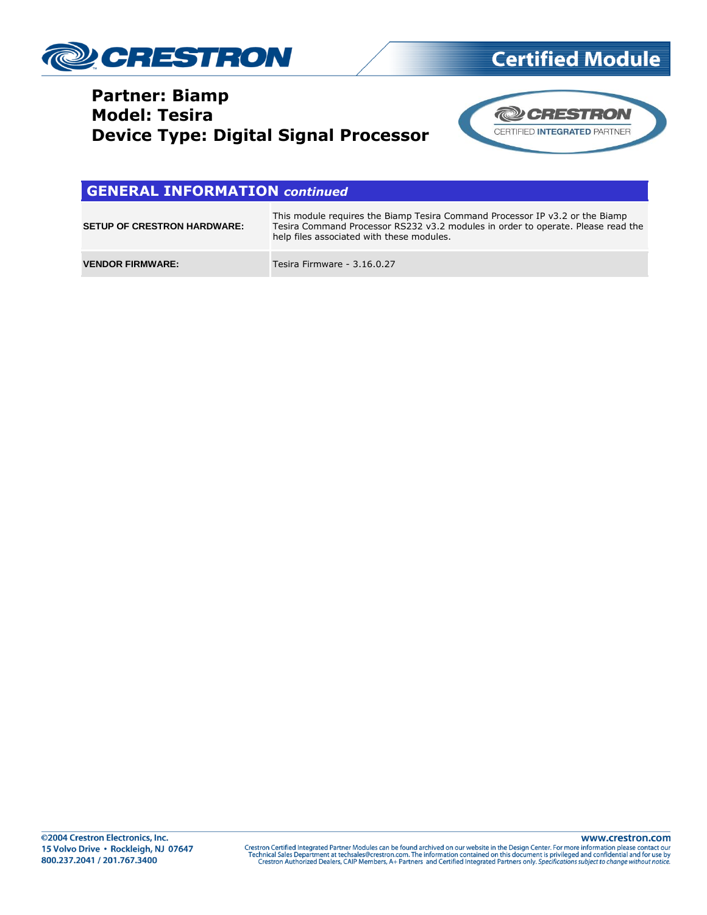

#### **Partner: Biamp Model: Tesira Device Type: Digital Signal Processor**



**Certified Module** 

#### **GENERAL INFORMATION** *continued*

| <b>SETUP OF CRESTRON HARDWARE:</b> | This module requires the Biamp Tesira Command Processor IP v3.2 or the Biamp<br>Tesira Command Processor RS232 v3.2 modules in order to operate. Please read the<br>help files associated with these modules. |
|------------------------------------|---------------------------------------------------------------------------------------------------------------------------------------------------------------------------------------------------------------|
| <b>VENDOR FIRMWARE:</b>            | Tesira Firmware - 3.16.0.27                                                                                                                                                                                   |

Crestron Certified Integrated Partner Modules can be found archived on our website in the Design Center. For more information please contact our<br>Technical Sales Department at techsales@crestron.com. The information contain

www.crestron.com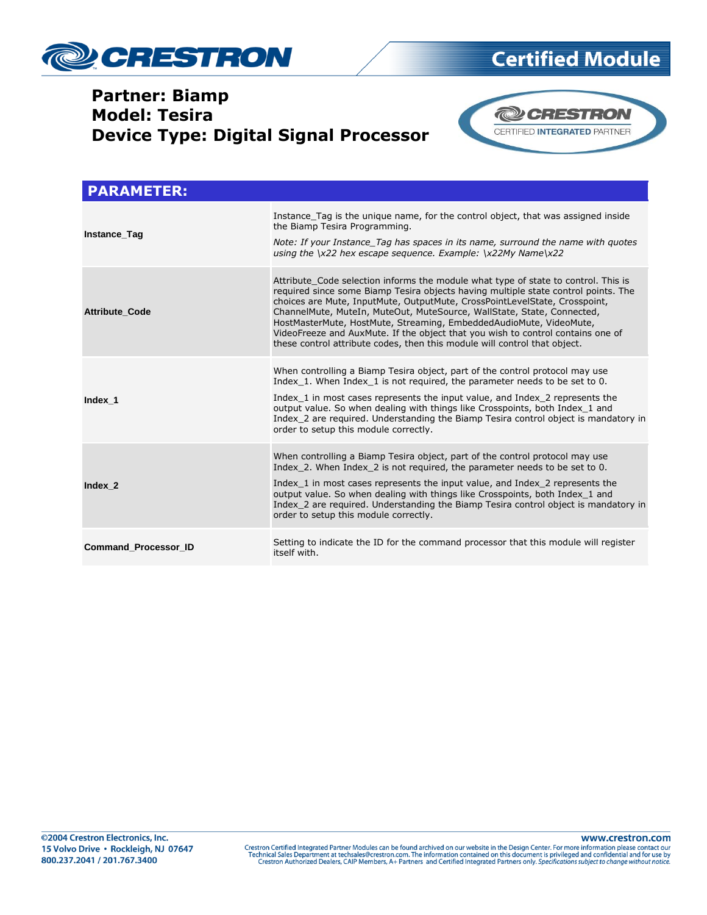

## **Partner: Biamp Model: Tesira**



#### **@CRESTRON** CERTIFIED INTEGRATED PARTNER **Device Type: Digital Signal Processor**

| <b>PARAMETER:</b>           |                                                                                                                                                                                                                                                                                                                                                                                                                                                                                                                                                                        |  |
|-----------------------------|------------------------------------------------------------------------------------------------------------------------------------------------------------------------------------------------------------------------------------------------------------------------------------------------------------------------------------------------------------------------------------------------------------------------------------------------------------------------------------------------------------------------------------------------------------------------|--|
| Instance_Tag                | Instance Tag is the unique name, for the control object, that was assigned inside<br>the Biamp Tesira Programming.<br>Note: If your Instance Tag has spaces in its name, surround the name with quotes<br>using the $\x22$ hex escape sequence. Example: $\x22My$ Name $\x22$                                                                                                                                                                                                                                                                                          |  |
| <b>Attribute Code</b>       | Attribute Code selection informs the module what type of state to control. This is<br>required since some Biamp Tesira objects having multiple state control points. The<br>choices are Mute, InputMute, OutputMute, CrossPointLevelState, Crosspoint,<br>ChannelMute, MuteIn, MuteOut, MuteSource, WallState, State, Connected,<br>HostMasterMute, HostMute, Streaming, EmbeddedAudioMute, VideoMute,<br>VideoFreeze and AuxMute. If the object that you wish to control contains one of<br>these control attribute codes, then this module will control that object. |  |
| Index 1                     | When controlling a Biamp Tesira object, part of the control protocol may use<br>Index 1. When Index 1 is not required, the parameter needs to be set to 0.<br>Index 1 in most cases represents the input value, and Index 2 represents the<br>output value. So when dealing with things like Crosspoints, both Index 1 and<br>Index 2 are required. Understanding the Biamp Tesira control object is mandatory in<br>order to setup this module correctly.                                                                                                             |  |
| Index 2                     | When controlling a Biamp Tesira object, part of the control protocol may use<br>Index 2. When Index 2 is not required, the parameter needs to be set to 0.<br>Index 1 in most cases represents the input value, and Index 2 represents the<br>output value. So when dealing with things like Crosspoints, both Index 1 and<br>Index 2 are required. Understanding the Biamp Tesira control object is mandatory in<br>order to setup this module correctly.                                                                                                             |  |
| <b>Command Processor ID</b> | Setting to indicate the ID for the command processor that this module will register<br>itself with.                                                                                                                                                                                                                                                                                                                                                                                                                                                                    |  |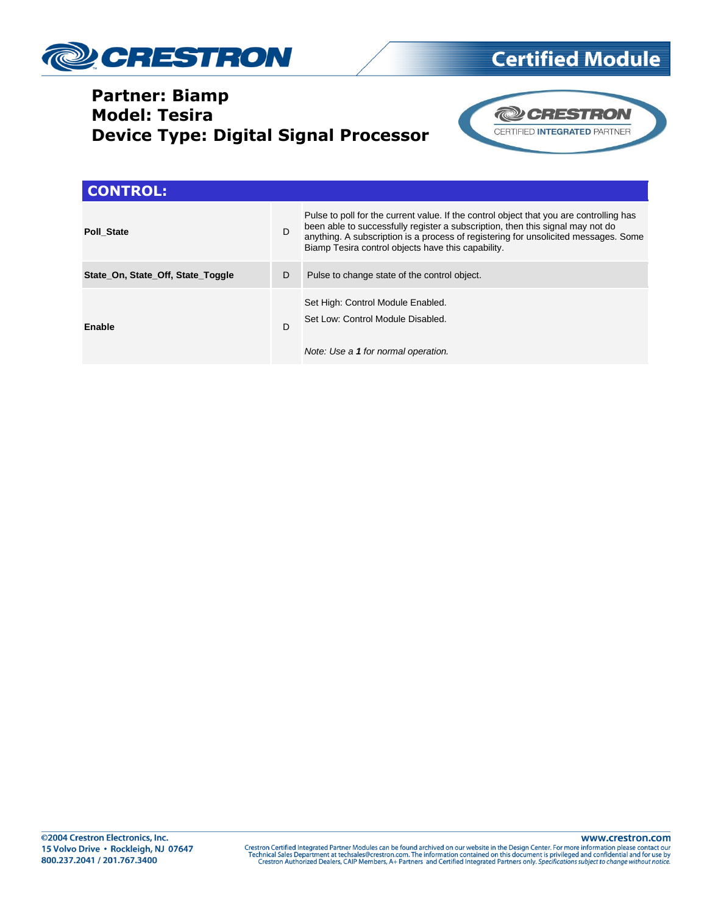

### **Partner: Biamp Model: Tesira Device Type: Digital Signal Processor**



**Certified Module** 

| <b>CONTROL:</b>                   |   |                                                                                                                                                                                                                                                                                                                        |
|-----------------------------------|---|------------------------------------------------------------------------------------------------------------------------------------------------------------------------------------------------------------------------------------------------------------------------------------------------------------------------|
| <b>Poll State</b>                 | D | Pulse to poll for the current value. If the control object that you are controlling has<br>been able to successfully register a subscription, then this signal may not do<br>anything. A subscription is a process of registering for unsolicited messages. Some<br>Biamp Tesira control objects have this capability. |
| State_On, State_Off, State_Toggle | D | Pulse to change state of the control object.                                                                                                                                                                                                                                                                           |
| Enable                            | D | Set High: Control Module Enabled.<br>Set Low: Control Module Disabled.<br>Note: Use a 1 for normal operation.                                                                                                                                                                                                          |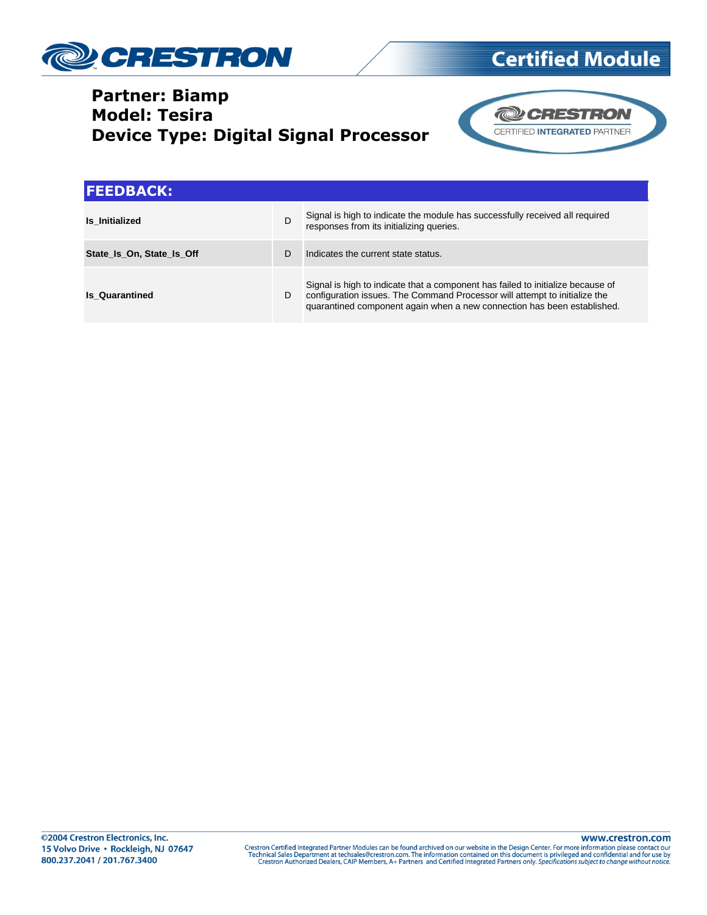

# **Certified Module**

#### **Partner: Biamp Model: Tesira Device Type: Digital Signal Processor**



| <b>IFEEDBACK:</b>         |   |                                                                                                                                                                                                                                          |
|---------------------------|---|------------------------------------------------------------------------------------------------------------------------------------------------------------------------------------------------------------------------------------------|
| <b>Is Initialized</b>     | D | Signal is high to indicate the module has successfully received all required<br>responses from its initializing queries.                                                                                                                 |
| State Is On, State Is Off | D | Indicates the current state status.                                                                                                                                                                                                      |
| <b>Is Quarantined</b>     | D | Signal is high to indicate that a component has failed to initialize because of<br>configuration issues. The Command Processor will attempt to initialize the<br>quarantined component again when a new connection has been established. |